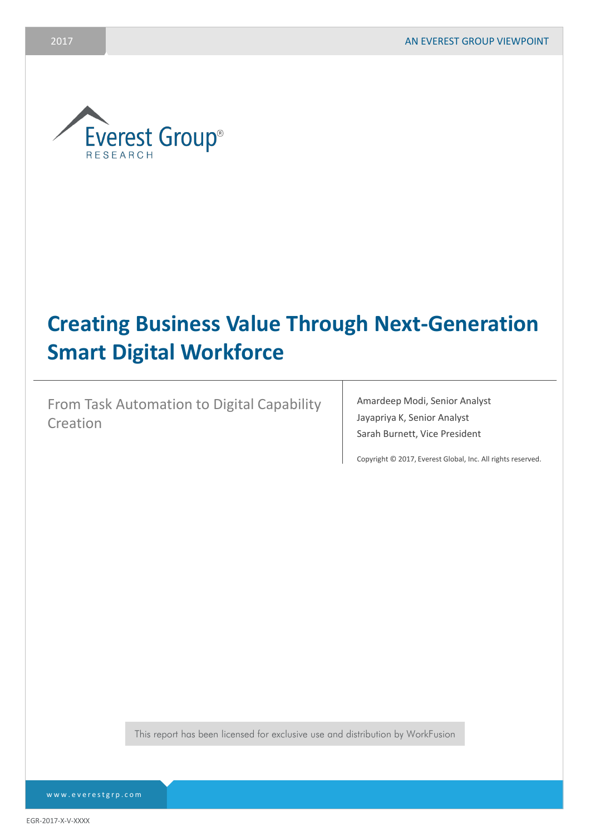

# **Creating Business Value Through Next-Generation Smart Digital Workforce**

From Task Automation to Digital Capability Creation

Amardeep Modi, Senior Analyst Jayapriya K, Senior Analyst Sarah Burnett, Vice President

Copyright © 2017, Everest Global, Inc. All rights reserved.

This report has been licensed for exclusive use and distribution by WorkFusion

[www.everestgrp.com](http://www.everestgrp.com/)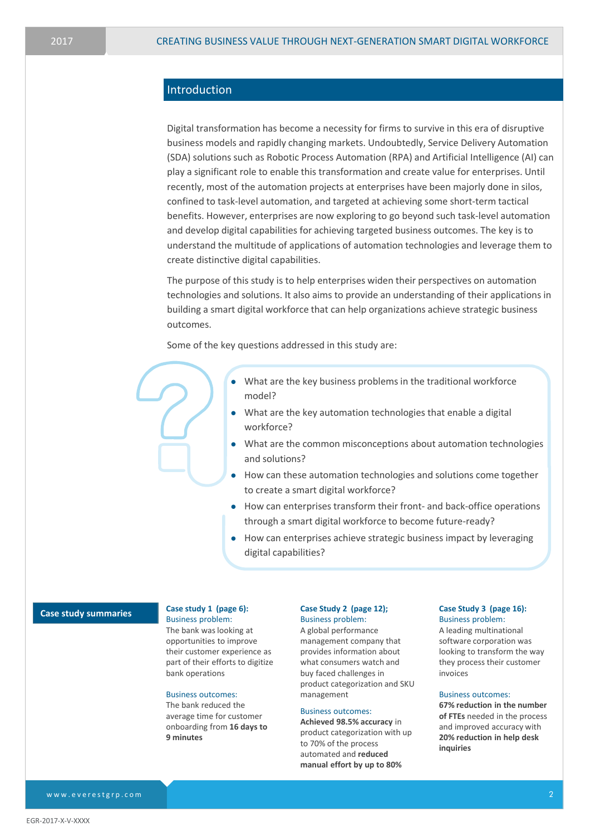### Introduction

Digital transformation has become a necessity for firms to survive in this era of disruptive business models and rapidly changing markets. Undoubtedly, Service Delivery Automation (SDA) solutions such as Robotic Process Automation (RPA) and Artificial Intelligence (AI) can play a significant role to enable this transformation and create value for enterprises. Until recently, most of the automation projects at enterprises have been majorly done in silos, confined to task-level automation, and targeted at achieving some short-term tactical benefits. However, enterprises are now exploring to go beyond such task-level automation and develop digital capabilities for achieving targeted business outcomes. The key is to understand the multitude of applications of automation technologies and leverage them to create distinctive digital capabilities.

The purpose of this study is to help enterprises widen their perspectives on automation technologies and solutions. It also aims to provide an understanding of their applications in building a smart digital workforce that can help organizations achieve strategic business outcomes.

Some of the key questions addressed in this study are:

- $\bullet$  What are the key business problems in the traditional workforce model?
- What are the key automation technologies that enable a digital workforce?
- What are the common misconceptions about automation technologies and solutions?
- $\bullet$  How can these automation technologies and solutions come together to create a smart digital workforce?
- How can enterprises transform their front- and back-office operations through a smart digital workforce to become future-ready?
- How can enterprises achieve strategic business impact by leveraging digital capabilities?

### **Case study summaries**

### **Case study 1 (page 6):**

Business problem: The bank was looking at opportunities to improve their customer experience as part of their efforts to digitize bank operations

#### Business outcomes:

The bank reduced the average time for customer onboarding from **16 days to 9 minutes**

#### **Case Study 2 (page 12);** Business problem:

A global performance management company that provides information about what consumers watch and buy faced challenges in product categorization and SKU management

### Business outcomes:

**Achieved 98.5% accuracy** in product categorization with up to 70% of the process automated and **reduced manual effort by up to 80%**

#### **Case Study 3 (page 16):** Business problem:

A leading multinational software corporation was looking to transform the way they process their customer invoices

#### Business outcomes:

**67% reduction in the number of FTEs** needed in the process and improved accuracy with **20% reduction in help desk inquiries**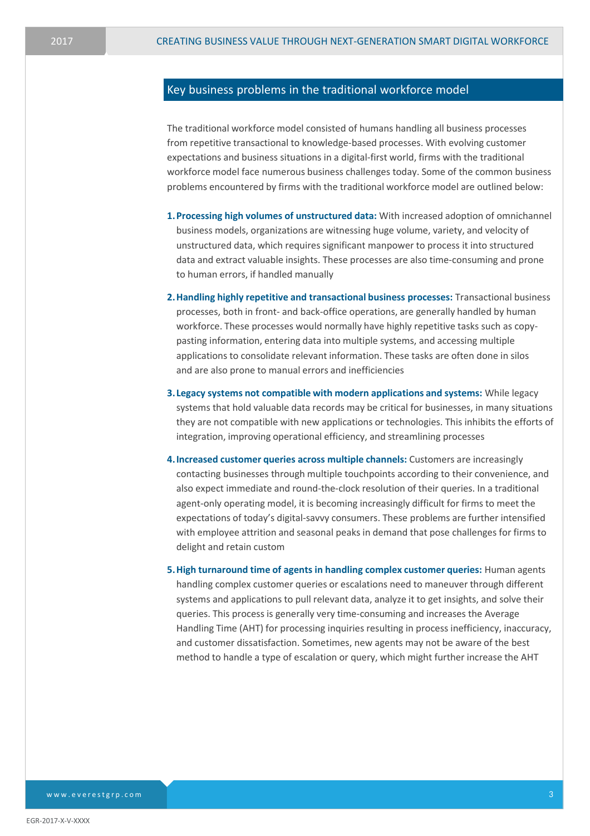### Key business problems in the traditional workforce model

The traditional workforce model consisted of humans handling all business processes from repetitive transactional to knowledge-based processes. With evolving customer expectations and business situations in a digital-first world, firms with the traditional workforce model face numerous business challenges today. Some of the common business problems encountered by firms with the traditional workforce model are outlined below:

- **1.Processing high volumes of unstructured data:** With increased adoption of omnichannel business models, organizations are witnessing huge volume, variety, and velocity of unstructured data, which requires significant manpower to process it into structured data and extract valuable insights. These processes are also time-consuming and prone to human errors, if handled manually
- **2.Handling highly repetitive and transactional business processes:** Transactional business processes, both in front- and back-office operations, are generally handled by human workforce. These processes would normally have highly repetitive tasks such as copypasting information, entering data into multiple systems, and accessing multiple applications to consolidate relevant information. These tasks are often done in silos and are also prone to manual errors and inefficiencies
- **3. Legacy systems not compatible with modern applications and systems:** While legacy systems that hold valuable data records may be critical for businesses, in many situations they are not compatible with new applications or technologies. This inhibits the efforts of integration, improving operational efficiency, and streamlining processes
- **4.Increased customer queries across multiple channels:** Customers are increasingly contacting businesses through multiple touchpoints according to their convenience, and also expect immediate and round-the-clock resolution of their queries. In a traditional agent-only operating model, it is becoming increasingly difficult for firms to meet the expectations of today's digital-savvy consumers. These problems are further intensified with employee attrition and seasonal peaks in demand that pose challenges for firms to delight and retain custom
- **5.High turnaround time of agents in handling complex customer queries:** Human agents handling complex customer queries or escalations need to maneuver through different systems and applications to pull relevant data, analyze it to get insights, and solve their queries. This process is generally very time-consuming and increases the Average Handling Time (AHT) for processing inquiries resulting in process inefficiency, inaccuracy, and customer dissatisfaction. Sometimes, new agents may not be aware of the best method to handle a type of escalation or query, which might further increase the AHT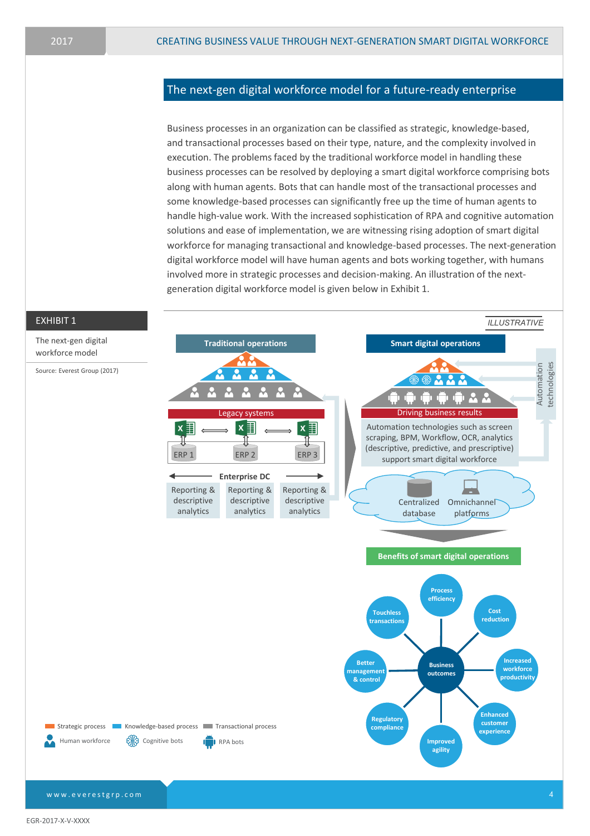### The next-gen digital workforce model for a future-ready enterprise

Business processes in an organization can be classified as strategic, knowledge-based, and transactional processes based on their type, nature, and the complexity involved in execution. The problems faced by the traditional workforce model in handling these business processes can be resolved by deploying a smart digital workforce comprising bots along with human agents. Bots that can handle most of the transactional processes and some knowledge-based processes can significantly free up the time of human agents to handle high-value work. With the increased sophistication of RPA and cognitive automation solutions and ease of implementation, we are witnessing rising adoption of smart digital workforce for managing transactional and knowledge-based processes. The next-generation digital workforce model will have human agents and bots working together, with humans involved more in strategic processes and decision-making. An illustration of the nextgeneration digital workforce model is given below in Exhibit 1.



[www.everestgrp.com](http://www.everestgrp.com/)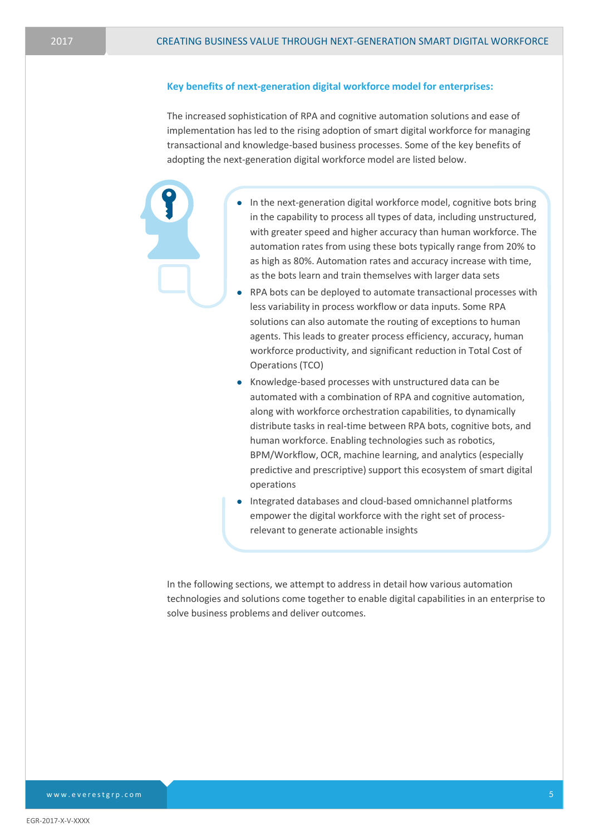### **Key benefits of next-generation digital workforce model for enterprises:**

The increased sophistication of RPA and cognitive automation solutions and ease of implementation has led to the rising adoption of smart digital workforce for managing transactional and knowledge-based business processes. Some of the key benefits of adopting the next-generation digital workforce model are listed below.

- In the next-generation digital workforce model, cognitive bots bring in the capability to process all types of data, including unstructured, with greater speed and higher accuracy than human workforce. The automation rates from using these bots typically range from 20% to as high as 80%. Automation rates and accuracy increase with time, as the bots learn and train themselves with larger data sets
- RPA bots can be deployed to automate transactional processes with less variability in process workflow or data inputs. Some RPA solutions can also automate the routing of exceptions to human agents. This leads to greater process efficiency, accuracy, human workforce productivity, and significant reduction in Total Cost of Operations (TCO)
- Knowledge-based processes with unstructured data can be automated with a combination of RPA and cognitive automation, along with workforce orchestration capabilities, to dynamically distribute tasks in real-time between RPA bots, cognitive bots, and human workforce. Enabling technologies such as robotics, BPM/Workflow, OCR, machine learning, and analytics (especially predictive and prescriptive) support this ecosystem of smart digital operations
- Integrated databases and cloud-based omnichannel platforms empower the digital workforce with the right set of processrelevant to generate actionable insights

In the following sections, we attempt to address in detail how various automation technologies and solutions come together to enable digital capabilities in an enterprise to solve business problems and deliver outcomes.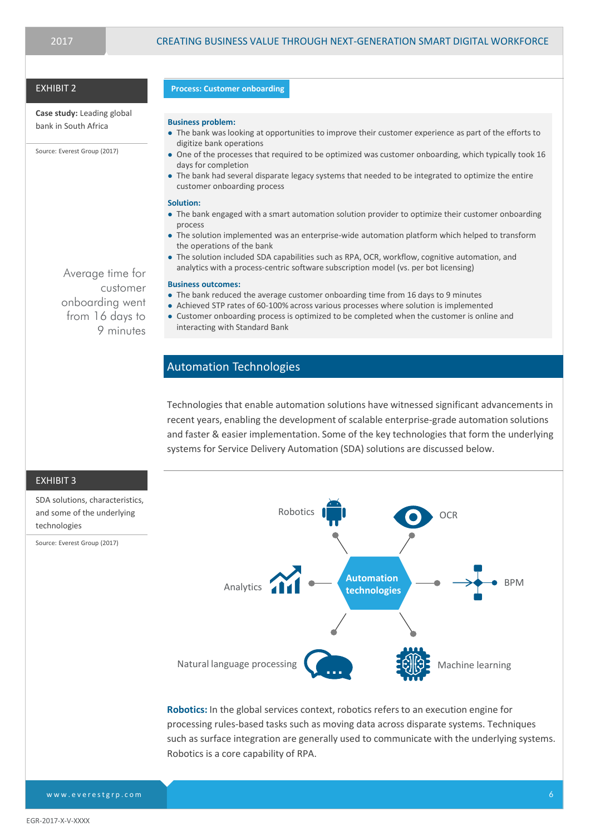### EXHIBIT 2

**Case study:** Leading global bank in South Africa

Source: Everest Group (2017)

Average time for customer onboarding went from 16 days to 9 minutes

#### **Process: Customer onboarding**

#### **Business problem:**

- The bank was looking at opportunities to improve their customer experience as part of the efforts to digitize bank operations
- One of the processes that required to be optimized was customer onboarding, which typically took 16 days for completion
- The bank had several disparate legacy systems that needed to be integrated to optimize the entire customer onboarding process

#### **Solution:**

- The bank engaged with a smart automation solution provider to optimize their customer onboarding process
- The solution implemented was an enterprise-wide automation platform which helped to transform the operations of the bank
- The solution included SDA capabilities such as RPA, OCR, workflow, cognitive automation, and analytics with a process-centric software subscription model (vs. per bot licensing)

#### **Business outcomes:**

- The bank reduced the average customer onboarding time from 16 days to 9 minutes
- Achieved STP rates of 60-100% across various processes where solution is implemented
- Customer onboarding process is optimized to be completed when the customer is online and interacting with Standard Bank

### Automation Technologies

Technologies that enable automation solutions have witnessed significant advancements in recent years, enabling the development of scalable enterprise-grade automation solutions and faster & easier implementation. Some of the key technologies that form the underlying systems for Service Delivery Automation (SDA) solutions are discussed below.



**Robotics:** In the global services context, robotics refers to an execution engine for processing rules-based tasks such as moving data across disparate systems. Techniques such as surface integration are generally used to communicate with the underlying systems. Robotics is a core capability of RPA.

EXHIBIT 3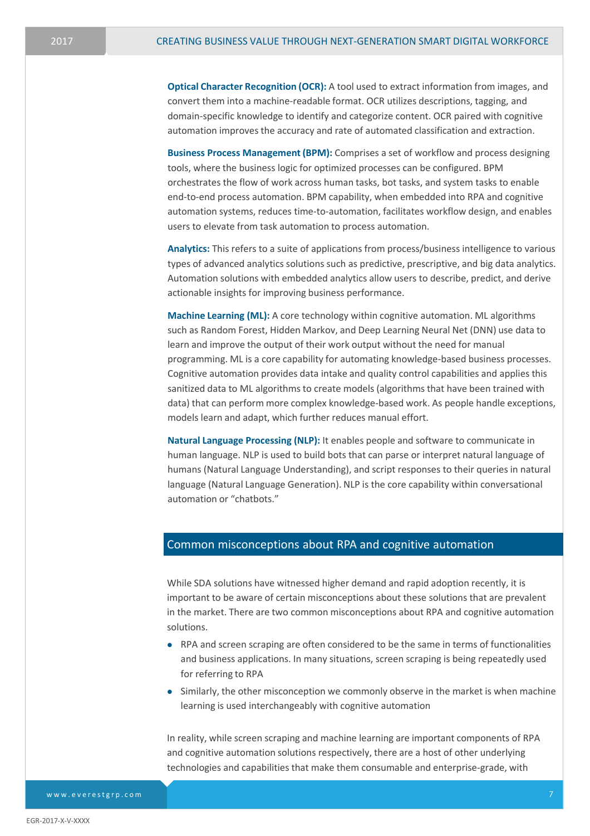**Optical Character Recognition (OCR):** A tool used to extract information from images, and convert them into a machine-readable format. OCR utilizes descriptions, tagging, and domain-specific knowledge to identify and categorize content. OCR paired with cognitive automation improves the accuracy and rate of automated classification and extraction.

**Business Process Management (BPM):** Comprises a set of workflow and process designing tools, where the business logic for optimized processes can be configured. BPM orchestrates the flow of work across human tasks, bot tasks, and system tasks to enable end-to-end process automation. BPM capability, when embedded into RPA and cognitive automation systems, reduces time-to-automation, facilitates workflow design, and enables users to elevate from task automation to process automation.

**Analytics:** This refers to a suite of applications from process/business intelligence to various types of advanced analytics solutions such as predictive, prescriptive, and big data analytics. Automation solutions with embedded analytics allow users to describe, predict, and derive actionable insights for improving business performance.

**Machine Learning (ML):** A core technology within cognitive automation. ML algorithms such as Random Forest, Hidden Markov, and Deep Learning Neural Net (DNN) use data to learn and improve the output of their work output without the need for manual programming. ML is a core capability for automating knowledge-based business processes. Cognitive automation provides data intake and quality control capabilities and applies this sanitized data to ML algorithms to create models (algorithms that have been trained with data) that can perform more complex knowledge-based work. As people handle exceptions, models learn and adapt, which further reduces manual effort.

**Natural Language Processing (NLP):** It enables people and software to communicate in human language. NLP is used to build bots that can parse or interpret natural language of humans (Natural Language Understanding), and script responses to their queries in natural language (Natural Language Generation). NLP is the core capability within conversational automation or "chatbots."

### Common misconceptions about RPA and cognitive automation

While SDA solutions have witnessed higher demand and rapid adoption recently, it is important to be aware of certain misconceptions about these solutions that are prevalent in the market. There are two common misconceptions about RPA and cognitive automation solutions.

- RPA and screen scraping are often considered to be the same in terms of functionalities and business applications. In many situations, screen scraping is being repeatedly used for referring to RPA
- $\bullet$  Similarly, the other misconception we commonly observe in the market is when machine learning is used interchangeably with cognitive automation

In reality, while screen scraping and machine learning are important components of RPA and cognitive automation solutions respectively, there are a host of other underlying technologies and capabilities that make them consumable and enterprise-grade, with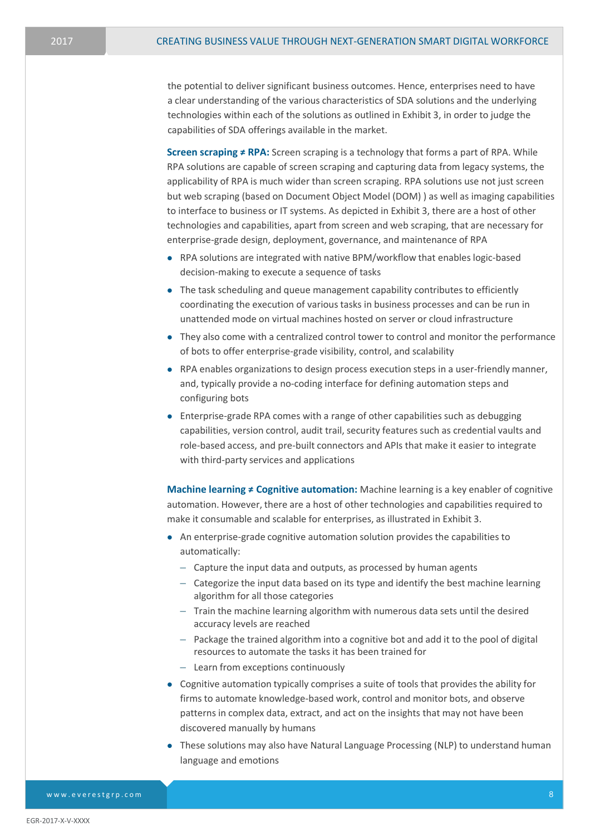the potential to deliver significant business outcomes. Hence, enterprises need to have a clear understanding of the various characteristics of SDA solutions and the underlying technologies within each of the solutions as outlined in Exhibit 3, in order to judge the capabilities of SDA offerings available in the market.

**Screen scraping ≠ RPA:** Screen scraping is a technology that forms a part of RPA. While RPA solutions are capable of screen scraping and capturing data from legacy systems, the applicability of RPA is much wider than screen scraping. RPA solutions use not just screen but web scraping (based on Document Object Model (DOM) ) as well as imaging capabilities to interface to business or IT systems. As depicted in Exhibit 3, there are a host of other technologies and capabilities, apart from screen and web scraping, that are necessary for enterprise-grade design, deployment, governance, and maintenance of RPA

- RPA solutions are integrated with native BPM/workflow that enables logic-based decision-making to execute a sequence of tasks
- The task scheduling and queue management capability contributes to efficiently coordinating the execution of various tasks in business processes and can be run in unattended mode on virtual machines hosted on server or cloud infrastructure
- They also come with a centralized control tower to control and monitor the performance of bots to offer enterprise-grade visibility, control, and scalability
- RPA enables organizations to design process execution steps in a user-friendly manner, and, typically provide a no-coding interface for defining automation steps and configuring bots
- Enterprise-grade RPA comes with a range of other capabilities such as debugging capabilities, version control, audit trail, security features such as credential vaults and role-based access, and pre-built connectors and APIs that make it easier to integrate with third-party services and applications

**Machine learning ≠ Cognitive automation:** Machine learning is a key enabler of cognitive automation. However, there are a host of other technologies and capabilities required to make it consumable and scalable for enterprises, as illustrated in Exhibit 3.

- An enterprise-grade cognitive automation solution provides the capabilities to automatically:
	- Capture the input data and outputs, as processed by human agents
	- Categorize the input data based on its type and identify the best machine learning algorithm for all those categories
	- Train the machine learning algorithm with numerous data sets until the desired accuracy levels are reached
	- Package the trained algorithm into a cognitive bot and add it to the pool of digital resources to automate the tasks it has been trained for
	- Learn from exceptions continuously
- Cognitive automation typically comprises a suite of tools that provides the ability for firms to automate knowledge-based work, control and monitor bots, and observe patterns in complex data, extract, and act on the insights that may not have been discovered manually by humans
- These solutions may also have Natural Language Processing (NLP) to understand human language and emotions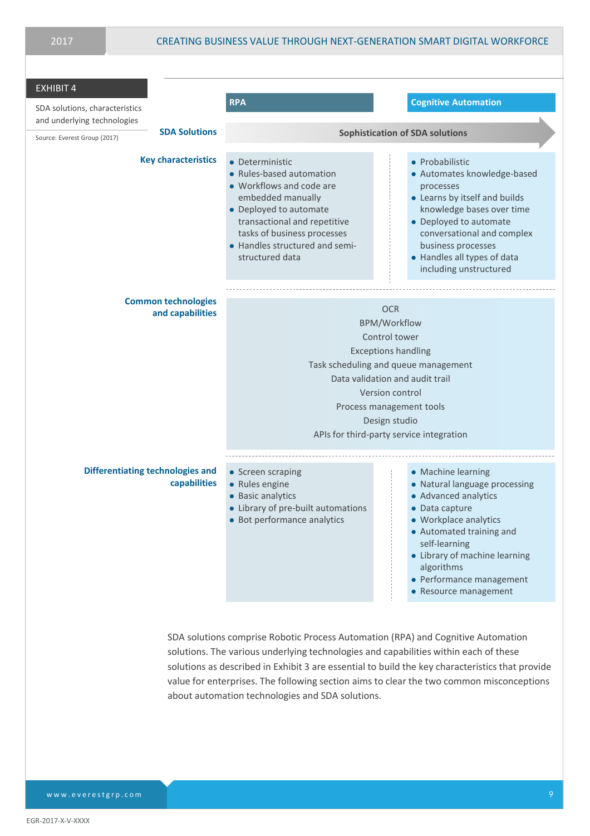| <b>EXHIBIT 4</b><br>SDA solutions, characteristics                                  | <b>RPA</b>                                                                                                                                                                                                                                                              | <b>Cognitive Automation</b>                                                                                                                                                                                                                                             |  |
|-------------------------------------------------------------------------------------|-------------------------------------------------------------------------------------------------------------------------------------------------------------------------------------------------------------------------------------------------------------------------|-------------------------------------------------------------------------------------------------------------------------------------------------------------------------------------------------------------------------------------------------------------------------|--|
| and underlying technologies<br><b>SDA Solutions</b><br>Source: Everest Group (2017) | <b>Sophistication of SDA solutions</b>                                                                                                                                                                                                                                  |                                                                                                                                                                                                                                                                         |  |
| <b>Key characteristics</b>                                                          | • Deterministic<br>• Rules-based automation<br>• Workflows and code are<br>embedded manually<br>• Deployed to automate<br>transactional and repetitive<br>tasks of business processes<br>• Handles structured and semi-<br>structured data                              | • Probabilistic<br>• Automates knowledge-based<br>processes<br>• Learns by itself and builds<br>knowledge bases over time<br>• Deployed to automate<br>conversational and complex<br>business processes<br>• Handles all types of data<br>including unstructured        |  |
| <b>Common technologies</b><br>and capabilities                                      | <b>OCR</b><br><b>BPM/Workflow</b><br>Control tower<br><b>Exceptions handling</b><br>Task scheduling and queue management<br>Data validation and audit trail<br>Version control<br>Process management tools<br>Design studio<br>APIs for third-party service integration |                                                                                                                                                                                                                                                                         |  |
| <b>Differentiating technologies and</b><br>capabilities                             | • Screen scraping<br>• Rules engine<br>• Basic analytics<br>• Library of pre-built automations<br>• Bot performance analytics                                                                                                                                           | • Machine learning<br>• Natural language processing<br>• Advanced analytics<br>• Data capture<br>• Workplace analytics<br>• Automated training and<br>self-learning<br>• Library of machine learning<br>algorithms<br>• Performance management<br>• Resource management |  |

SDA solutions comprise Robotic Process Automation (RPA) and Cognitive Automation solutions. The various underlying technologies and capabilities within each of these solutions as described in Exhibit 3 are essential to build the key characteristics that provide value for enterprises. The following section aims to clear the two common misconceptions about automation technologies and SDA solutions.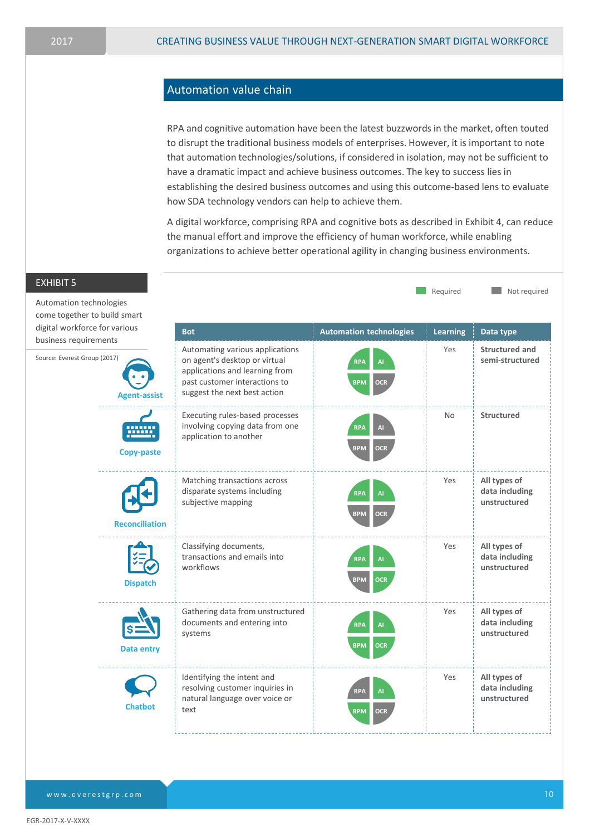### Automation value chain

RPA and cognitive automation have been the latest buzzwords in the market, often touted to disrupt the traditional business models of enterprises. However, it is important to note that automation technologies/solutions, if considered in isolation, may not be sufficient to have a dramatic impact and achieve business outcomes. The key to success lies in establishing the desired business outcomes and using this outcome-based lens to evaluate how SDA technology vendors can help to achieve them.

A digital workforce, comprising RPA and cognitive bots as described in Exhibit 4, can reduce the manual effort and improve the efficiency of human workforce, while enabling organizations to achieve better operational agility in changing business environments.

| <b>EXHIBIT 5</b>                                        |                                                                                                                                                                     |                                                     | Required        | Not required                                   |
|---------------------------------------------------------|---------------------------------------------------------------------------------------------------------------------------------------------------------------------|-----------------------------------------------------|-----------------|------------------------------------------------|
| Automation technologies<br>come together to build smart |                                                                                                                                                                     |                                                     |                 |                                                |
| digital workforce for various<br>business requirements  | <b>Bot</b>                                                                                                                                                          | <b>Automation technologies</b>                      | <b>Learning</b> | Data type                                      |
| Source: Everest Group (2017)<br><b>Agent-assist</b>     | Automating various applications<br>on agent's desktop or virtual<br>applications and learning from<br>past customer interactions to<br>suggest the next best action | <b>RPA</b><br>AI<br><b>BPM</b><br><b>OCR</b>        | Yes             | Structured and<br>semi-structured              |
| <b>Copy-paste</b>                                       | Executing rules-based processes<br>involving copying data from one<br>application to another                                                                        | <b>RPA</b><br>AI<br><b>BPM</b><br><b>OCR</b>        | No              | <b>Structured</b>                              |
| <b>Reconciliation</b>                                   | Matching transactions across<br>disparate systems including<br>subjective mapping                                                                                   | <b>RPA</b><br>AI<br><b>BPM</b><br><b>OCR</b>        | Yes             | All types of<br>data including<br>unstructured |
| <b>Dispatch</b>                                         | Classifying documents,<br>transactions and emails into<br>workflows                                                                                                 | <b>RPA</b><br><b>AI</b><br><b>OCR</b><br><b>BPM</b> | Yes             | All types of<br>data including<br>unstructured |
| <b>Data entry</b>                                       | Gathering data from unstructured<br>documents and entering into<br>systems                                                                                          | <b>RPA</b><br>AI<br><b>BPM</b><br><b>OCR</b>        | Yes             | All types of<br>data including<br>unstructured |
| <b>Chatbot</b>                                          | Identifying the intent and<br>resolving customer inquiries in<br>natural language over voice or<br>text                                                             | <b>RPA</b><br>AI<br><b>BPM</b><br><b>OCR</b>        | Yes             | All types of<br>data including<br>unstructured |

## [www.everestgrp.com](http://www.everestgrp.com/)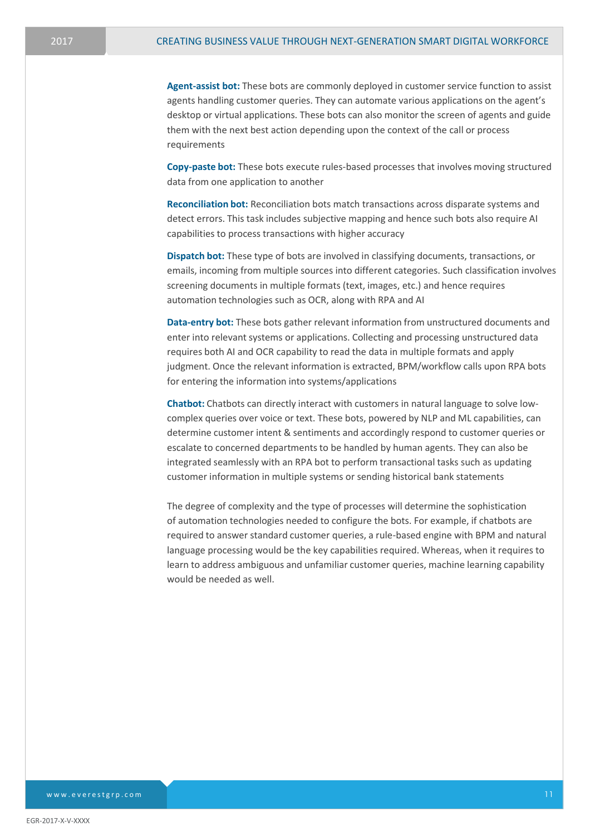**Agent-assist bot:** These bots are commonly deployed in customer service function to assist agents handling customer queries. They can automate various applications on the agent's desktop or virtual applications. These bots can also monitor the screen of agents and guide them with the next best action depending upon the context of the call or process requirements

**Copy-paste bot:** These bots execute rules-based processes that involves moving structured data from one application to another

**Reconciliation bot:** Reconciliation bots match transactions across disparate systems and detect errors. This task includes subjective mapping and hence such bots also require AI capabilities to process transactions with higher accuracy

**Dispatch bot:** These type of bots are involved in classifying documents, transactions, or emails, incoming from multiple sources into different categories. Such classification involves screening documents in multiple formats (text, images, etc.) and hence requires automation technologies such as OCR, along with RPA and AI

**Data-entry bot:** These bots gather relevant information from unstructured documents and enter into relevant systems or applications. Collecting and processing unstructured data requires both AI and OCR capability to read the data in multiple formats and apply judgment. Once the relevant information is extracted, BPM/workflow calls upon RPA bots for entering the information into systems/applications

**Chatbot:** Chatbots can directly interact with customers in natural language to solve lowcomplex queries over voice or text. These bots, powered by NLP and ML capabilities, can determine customer intent & sentiments and accordingly respond to customer queries or escalate to concerned departments to be handled by human agents. They can also be integrated seamlessly with an RPA bot to perform transactional tasks such as updating customer information in multiple systems or sending historical bank statements

The degree of complexity and the type of processes will determine the sophistication of automation technologies needed to configure the bots. For example, if chatbots are required to answer standard customer queries, a rule-based engine with BPM and natural language processing would be the key capabilities required. Whereas, when it requires to learn to address ambiguous and unfamiliar customer queries, machine learning capability would be needed as well.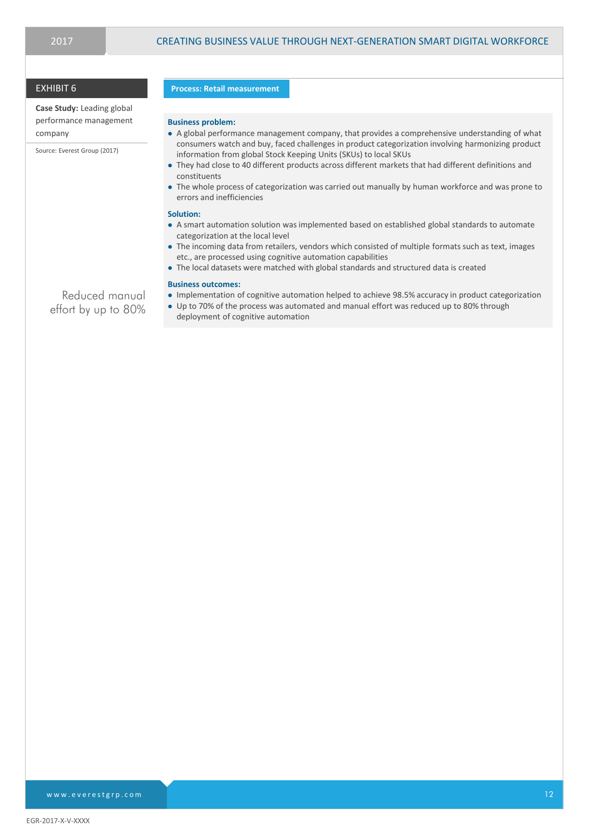### EXHIBIT 6

**Case Study:** Leading global performance management company

Source: Everest Group (2017)

#### **Process: Retail measurement**

#### **Business problem:**

- A global performance management company, that provides a comprehensive understanding of what consumers watch and buy, faced challenges in product categorization involving harmonizing product information from global Stock Keeping Units (SKUs) to local SKUs
- They had close to 40 different products across different markets that had different definitions and constituents
- The whole process of categorization was carried out manually by human workforce and was prone to errors and inefficiencies

#### **Solution:**

- A smart automation solution was implemented based on established global standards to automate categorization at the local level
- The incoming data from retailers, vendors which consisted of multiple formats such as text, images etc., are processed using cognitive automation capabilities
- The local datasets were matched with global standards and structured data is created

#### **Business outcomes:**

- Implementation of cognitive automation helped to achieve 98.5% accuracy in product categorization
- Up to 70% of the process was automated and manual effort was reduced up to 80% through deployment of cognitive automation

Reduced manual effort by up to 80%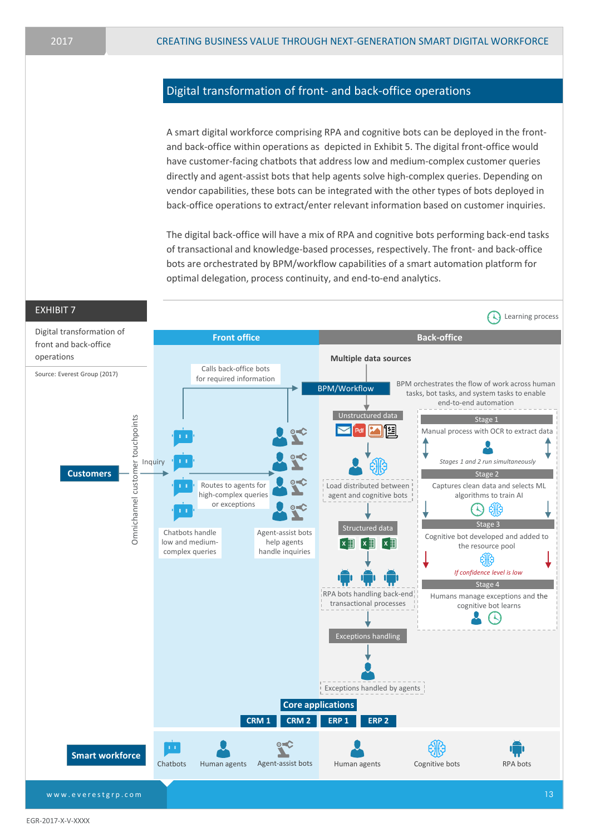### Digital transformation of front- and back-office operations

A smart digital workforce comprising RPA and cognitive bots can be deployed in the frontand back-office within operations as depicted in Exhibit 5. The digital front-office would have customer-facing chatbots that address low and medium-complex customer queries directly and agent-assist bots that help agents solve high-complex queries. Depending on vendor capabilities, these bots can be integrated with the other types of bots deployed in back-office operations to extract/enter relevant information based on customer inquiries.

The digital back-office will have a mix of RPA and cognitive bots performing back-end tasks of transactional and knowledge-based processes, respectively. The front- and back-office bots are orchestrated by BPM/workflow capabilities of a smart automation platform for optimal delegation, process continuity, and end-to-end analytics.

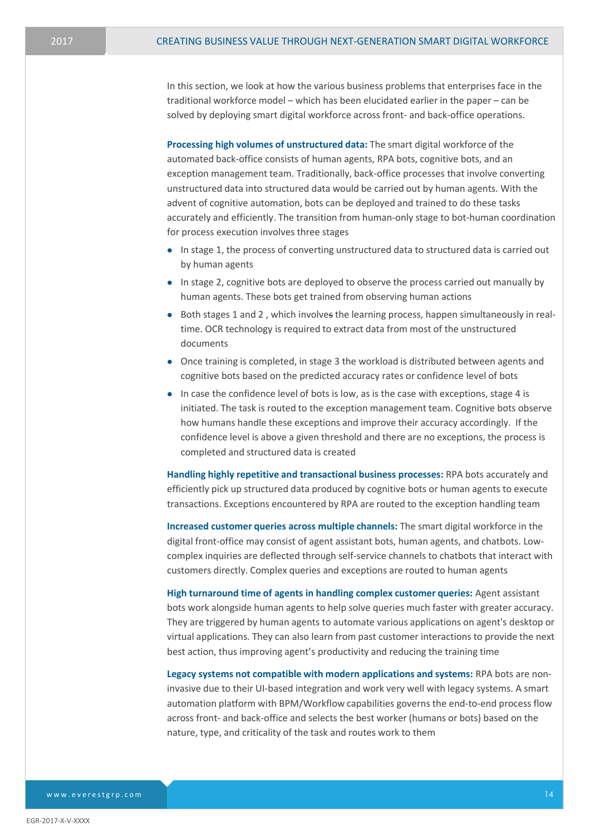In this section, we look at how the various business problems that enterprises face in the traditional workforce model – which has been elucidated earlier in the paper – can be solved by deploying smart digital workforce across front- and back-office operations.

**Processing high volumes of unstructured data:** The smart digital workforce of the automated back-office consists of human agents, RPA bots, cognitive bots, and an exception management team. Traditionally, back-office processes that involve converting unstructured data into structured data would be carried out by human agents. With the advent of cognitive automation, bots can be deployed and trained to do these tasks accurately and efficiently. The transition from human-only stage to bot-human coordination for process execution involves three stages

- In stage 1, the process of converting unstructured data to structured data is carried out by human agents
- In stage 2, cognitive bots are deployed to observe the process carried out manually by human agents. These bots get trained from observing human actions
- Both stages 1 and 2, which involves the learning process, happen simultaneously in realtime. OCR technology is required to extract data from most of the unstructured documents
- Once training is completed, in stage 3 the workload is distributed between agents and cognitive bots based on the predicted accuracy rates or confidence level of bots
- $\bullet$  In case the confidence level of bots is low, as is the case with exceptions, stage 4 is initiated. The task is routed to the exception management team. Cognitive bots observe how humans handle these exceptions and improve their accuracy accordingly. If the confidence level is above a given threshold and there are no exceptions, the process is completed and structured data is created

**Handling highly repetitive and transactional business processes:** RPA bots accurately and efficiently pick up structured data produced by cognitive bots or human agents to execute transactions. Exceptions encountered by RPA are routed to the exception handling team

**Increased customer queries across multiple channels:** The smart digital workforce in the digital front-office may consist of agent assistant bots, human agents, and chatbots. Lowcomplex inquiries are deflected through self-service channels to chatbots that interact with customers directly. Complex queries and exceptions are routed to human agents

**High turnaround time of agents in handling complex customer queries:** Agent assistant bots work alongside human agents to help solve queries much faster with greater accuracy. They are triggered by human agents to automate various applications on agent's desktop or virtual applications. They can also learn from past customer interactions to provide the next best action, thus improving agent's productivity and reducing the training time

**Legacy systems not compatible with modern applications and systems:** RPA bots are noninvasive due to their UI-based integration and work very well with legacy systems. A smart automation platform with BPM/Workflow capabilities governs the end-to-end process flow across front- and back-office and selects the best worker (humans or bots) based on the nature, type, and criticality of the task and routes work to them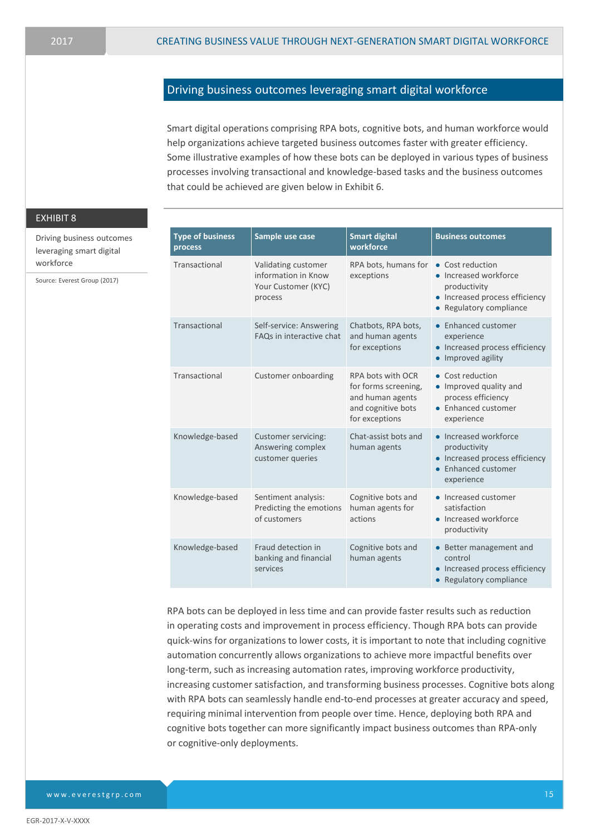### Driving business outcomes leveraging smart digital workforce

Smart digital operations comprising RPA bots, cognitive bots, and human workforce would help organizations achieve targeted business outcomes faster with greater efficiency. Some illustrative examples of how these bots can be deployed in various types of business processes involving transactional and knowledge-based tasks and the business outcomes that could be achieved are given below in Exhibit 6.

### EXHIBIT 8

Driving business outcomes leveraging smart digital workforce

Source: Everest Group (2017)

| <b>Type of business</b><br>process | Sample use case                                                              | <b>Smart digital</b><br>workforce                                                                     | <b>Business outcomes</b>                                                                                               |
|------------------------------------|------------------------------------------------------------------------------|-------------------------------------------------------------------------------------------------------|------------------------------------------------------------------------------------------------------------------------|
| Transactional                      | Validating customer<br>information in Know<br>Your Customer (KYC)<br>process | RPA bots, humans for<br>exceptions                                                                    | • Cost reduction<br>• Increased workforce<br>productivity<br>• Increased process efficiency<br>• Regulatory compliance |
| Transactional                      | Self-service: Answering<br>FAQs in interactive chat                          | Chatbots, RPA bots,<br>and human agents<br>for exceptions                                             | • Enhanced customer<br>experience<br>• Increased process efficiency<br>• Improved agility                              |
| Transactional                      | Customer onboarding                                                          | RPA bots with OCR<br>for forms screening,<br>and human agents<br>and cognitive bots<br>for exceptions | • Cost reduction<br>• Improved quality and<br>process efficiency<br>• Enhanced customer<br>experience                  |
| Knowledge-based                    | Customer servicing:<br>Answering complex<br>customer queries                 | Chat-assist bots and<br>human agents                                                                  | • Increased workforce<br>productivity<br>• Increased process efficiency<br>• Enhanced customer<br>experience           |
| Knowledge-based                    | Sentiment analysis:<br>Predicting the emotions<br>of customers               | Cognitive bots and<br>human agents for<br>actions                                                     | • Increased customer<br>satisfaction<br>• Increased workforce<br>productivity                                          |
| Knowledge-based                    | Fraud detection in<br>banking and financial<br>services                      | Cognitive bots and<br>human agents                                                                    | • Better management and<br>control<br>• Increased process efficiency<br>• Regulatory compliance                        |

RPA bots can be deployed in less time and can provide faster results such as reduction in operating costs and improvement in process efficiency. Though RPA bots can provide quick-wins for organizations to lower costs, it is important to note that including cognitive automation concurrently allows organizations to achieve more impactful benefits over long-term, such as increasing automation rates, improving workforce productivity, increasing customer satisfaction, and transforming business processes. Cognitive bots along with RPA bots can seamlessly handle end-to-end processes at greater accuracy and speed, requiring minimal intervention from people over time. Hence, deploying both RPA and cognitive bots together can more significantly impact business outcomes than RPA-only or cognitive-only deployments.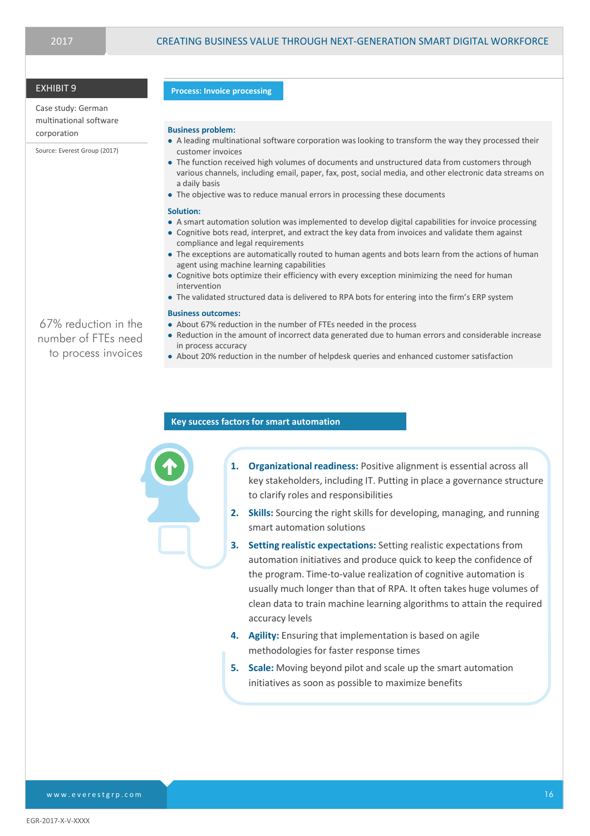### EXHIBIT 9

Case study: German multinational software corporation

Source: Everest Group (2017)

67% reduction in the number of FTEs need to process invoices

#### **Process: Invoice processing**

#### **Business problem:**

- A leading multinational software corporation was looking to transform the way they processed their customer invoices
- The function received high volumes of documents and unstructured data from customers through various channels, including email, paper, fax, post, social media, and other electronic data streams on a daily basis
- The objective was to reduce manual errors in processing these documents

#### **Solution:**

- A smart automation solution was implemented to develop digital capabilities for invoice processing
- Cognitive bots read, interpret, and extract the key data from invoices and validate them against compliance and legal requirements
- The exceptions are automatically routed to human agents and bots learn from the actions of human agent using machine learning capabilities
- Cognitive bots optimize their efficiency with every exception minimizing the need for human intervention
- The validated structured data is delivered to RPA bots for entering into the firm's ERP system

#### **Business outcomes:**

- About 67% reduction in the number of FTEs needed in the process
- Reduction in the amount of incorrect data generated due to human errors and considerable increase in process accuracy
- About 20% reduction in the number of helpdesk queries and enhanced customer satisfaction

### **Key success factors for smart automation**

**1. Organizational readiness:** Positive alignment is essential across all key stakeholders, including IT. Putting in place a governance structure to clarify roles and responsibilities

- **2. Skills:** Sourcing the right skills for developing, managing, and running smart automation solutions
- **3. Setting realistic expectations:** Setting realistic expectations from automation initiatives and produce quick to keep the confidence of the program. Time-to-value realization of cognitive automation is usually much longer than that of RPA. It often takes huge volumes of clean data to train machine learning algorithms to attain the required accuracy levels
- **4. Agility:** Ensuring that implementation is based on agile methodologies for faster response times
- **5. Scale:** Moving beyond pilot and scale up the smart automation initiatives as soon as possible to maximize benefits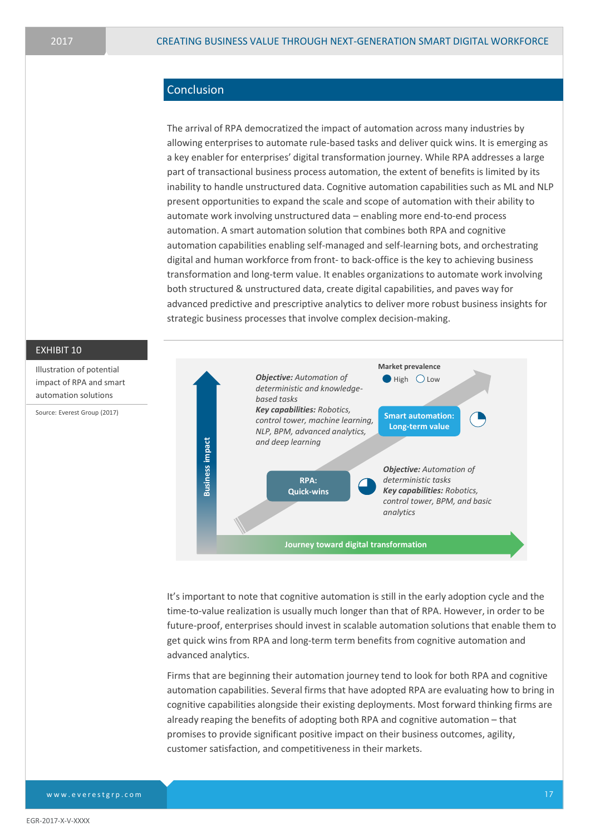### Conclusion

The arrival of RPA democratized the impact of automation across many industries by allowing enterprises to automate rule-based tasks and deliver quick wins. It is emerging as a key enabler for enterprises' digital transformation journey. While RPA addresses a large part of transactional business process automation, the extent of benefits is limited by its inability to handle unstructured data. Cognitive automation capabilities such as ML and NLP present opportunities to expand the scale and scope of automation with their ability to automate work involving unstructured data – enabling more end-to-end process automation. A smart automation solution that combines both RPA and cognitive automation capabilities enabling self-managed and self-learning bots, and orchestrating digital and human workforce from front- to back-office is the key to achieving business transformation and long-term value. It enables organizations to automate work involving both structured & unstructured data, create digital capabilities, and paves way for advanced predictive and prescriptive analytics to deliver more robust business insights for strategic business processes that involve complex decision-making.



It's important to note that cognitive automation is still in the early adoption cycle and the time-to-value realization is usually much longer than that of RPA. However, in order to be future-proof, enterprises should invest in scalable automation solutions that enable them to get quick wins from RPA and long-term term benefits from cognitive automation and advanced analytics.

Firms that are beginning their automation journey tend to look for both RPA and cognitive automation capabilities. Several firms that have adopted RPA are evaluating how to bring in cognitive capabilities alongside their existing deployments. Most forward thinking firms are already reaping the benefits of adopting both RPA and cognitive automation – that promises to provide significant positive impact on their business outcomes, agility, customer satisfaction, and competitiveness in their markets.

EXHIBIT 10

Illustration of potential impact of RPA and smart automation solutions Source: Everest Group (2017)